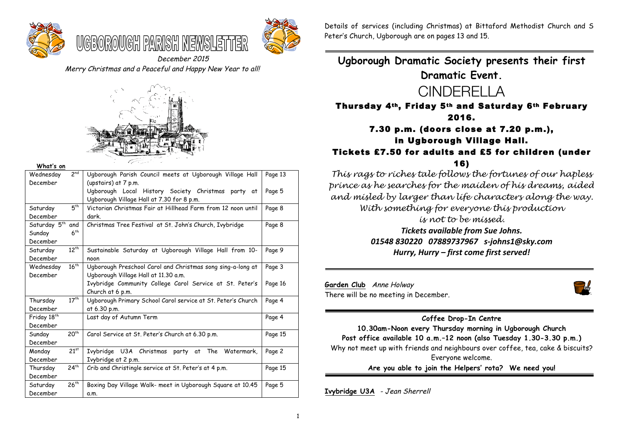



December 2015 Merry Christmas and a Peaceful and Happy New Year to all!



WGBOROWGH PAIR

#### **What's on**

| 2 <sup>nd</sup><br>Wednesday     | Ugborough Parish Council meets at Ugborough Village Hall                                                                | Page 13 |
|----------------------------------|-------------------------------------------------------------------------------------------------------------------------|---------|
| December                         | (upstairs) at 7 p.m.<br>Ugborough Local History Society Christmas party at<br>Ugborough Village Hall at 7.30 for 8 p.m. | Page 5  |
| $5^{th}$<br>Saturday<br>December | Victorian Christmas Fair at Hillhead Farm from 12 noon until<br>dark.                                                   | Page 8  |
| Saturday 5 <sup>th</sup><br>and  | Christmas Tree Festival at St. John's Church, Ivybridge                                                                 | Page 8  |
| 6 <sup>th</sup><br>Sunday        |                                                                                                                         |         |
| December                         |                                                                                                                         |         |
| $12^{th}$<br>Saturday            | Sustainable Saturday at Ugborough Village Hall from 10-                                                                 | Page 9  |
| December                         | noon                                                                                                                    |         |
| 16 <sup>th</sup><br>Wednesday    | Ugborough Preschool Carol and Christmas song sing-a-long at                                                             | Page 3  |
| December                         | Ugborough Village Hall at 11.30 a.m.                                                                                    |         |
|                                  | Ivybridge Community College Carol Service at St. Peter's                                                                | Page 16 |
|                                  | Church at 6 p.m.                                                                                                        |         |
| $17^{th}$<br>Thursday            | Ugborough Primary School Carol service at St. Peter's Church                                                            | Page 4  |
| December                         | at 6.30 p.m.                                                                                                            |         |
| Friday 18 <sup>th</sup>          | Last day of Autumn Term                                                                                                 | Page 4  |
| December                         |                                                                                                                         |         |
| 20 <sup>th</sup><br>Sunday       | Carol Service at St. Peter's Church at 6.30 p.m.                                                                        | Page 15 |
| December                         |                                                                                                                         |         |
| $21^{st}$<br>Monday              | Ivybridge U3A Christmas party<br>Watermark,<br>The<br>at                                                                | Page 2  |
| December                         | Ivybridge at 2 p.m.                                                                                                     |         |
| $24^{th}$<br>Thursday            | Crib and Christingle service at St. Peter's at 4 p.m.                                                                   | Page 15 |
| December                         |                                                                                                                         |         |
| $26^{th}$<br>Saturday            | Boxing Day Village Walk- meet in Ugborough Square at 10.45                                                              | Page 5  |
| December                         | a.m.                                                                                                                    |         |

Details of services (including Christmas) at Bittaford Methodist Church and S Peter's Church, Ugborough are on pages 13 and 15.

**Ugborough Dramatic Society presents their first Dramatic Event.**



Thursday 4th, Friday 5th and Saturday 6th February 2016.

# 7.30 p.m. (doors close at 7.20 p.m.), in Ugborough Village Hall.

# Tickets £7.50 for adults and £5 for children (under 16)

*This rags to riches tale follows the fortunes of our hapless prince as he searches for the maiden of his dreams, aided and misled by larger than life characters along the way. With something for everyone this production is not to be missed.*

> *Tickets available from Sue Johns. 01548 830220 07889737967 s-johns1@sky.com* Hurry, Hurry – first come first served!

**Garden Club** Anne Holway There will be no meeting in December.



### **Coffee Drop-In Centre**

**10.30am-Noon every Thursday morning in Ugborough Church Post office available 10 a.m.–12 noon (also Tuesday 1.30-3.30 p.m.)** Why not meet up with friends and neighbours over coffee, tea, cake & biscuits? Everyone welcome. **Are you able to join the Helpers' rota? We need you!**

**Ivybridge U3A** - Jean Sherrell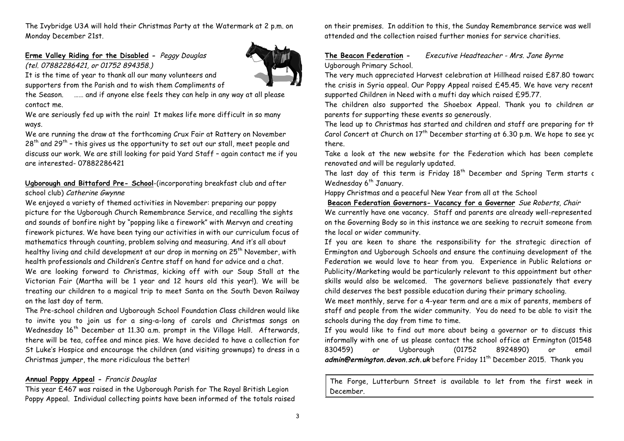The Ivybridge U3A will hold their Christmas Party at the Watermark at 2 p.m. on Monday December 21st.

# **Erme Valley Riding for the Disabled -** Peggy Douglas (tel. 07882286421, or 01752 894358.)

It is the time of year to thank all our many volunteers and

supporters from the Parish and to wish them Compliments of

the Season. …… and if anyone else feels they can help in any way at all please contact me.

We are seriously fed up with the rain! It makes life more difficult in so many ways.

We are running the draw at the forthcoming Crux Fair at Rattery on November  $28<sup>th</sup>$  and  $29<sup>th</sup>$  - this gives us the opportunity to set out our stall, meet people and discuss our work. We are still looking for paid Yard Staff – again contact me if you are interested- 07882286421

# **Ugborough and Bittaford Pre- School**-(incorporating breakfast club and after school club) Catherine Gwynne

We enjoyed a variety of themed activities in November: preparing our poppy picture for the Ugborough Church Remembrance Service, and recalling the sights and sounds of bonfire night by "popping like a firework" with Mervyn and creating firework pictures. We have been tying our activities in with our curriculum focus of mathematics through counting, problem solving and measuring. And it's all about healthy living and child development at our drop in morning on 25<sup>th</sup> November, with health professionals and Children's Centre staff on hand for advice and a chat. We are looking forward to Christmas, kicking off with our Soup Stall at the Victorian Fair (Martha will be 1 year and 12 hours old this year!). We will be treating our children to a magical trip to meet Santa on the South Devon Railway on the last day of term.

The Pre-school children and Ugborough School Foundation Class children would like to invite you to join us for a sing-a-long of carols and Christmas songs on Wednesday 16<sup>th</sup> December at 11.30 a.m. prompt in the Village Hall. Afterwards, there will be tea, coffee and mince pies. We have decided to have a collection for St Luke's Hospice and encourage the children (and visiting grownups) to dress in a Christmas jumper, the more ridiculous the better!

# **Annual Poppy Appeal -** Francis Douglas

This year £467 was raised in the Ugborough Parish for The Royal British Legion Poppy Appeal. Individual collecting points have been informed of the totals raised on their premises. In addition to this, the Sunday Remembrance service was well attended and the collection raised further monies for service charities.

### **The Beacon Federation -** Executive Headteacher - Mrs. Jane Byrne Ugborough Primary School.

The very much appreciated Harvest celebration at Hillhead raised £87.80 towards the crisis in Syria appeal. Our Poppy Appeal raised £45.45. We have very recent supported Children in Need with a mufti day which raised £95.77.

The children also supported the Shoebox Appeal. Thank you to children an parents for supporting these events so generously.

The lead up to Christmas has started and children and staff are preparing for the Carol Concert at Church on  $17<sup>th</sup>$  December starting at 6.30 p.m. We hope to see you there.

Take a look at the new website for the Federation which has been complete renovated and will be regularly updated.

The last day of this term is Friday  $18<sup>th</sup>$  December and Spring Term starts c Wednesday 6<sup>th</sup> January.

Happy Christmas and a peaceful New Year from all at the School

**Beacon Federation Governors- Vacancy for a Governor** Sue Roberts, Chair We currently have one vacancy. Staff and parents are already well-represented on the Governing Body so in this instance we are seeking to recruit someone from the local or wider community.

If you are keen to share the responsibility for the strategic direction of Ermington and Ugborough Schools and ensure the continuing development of the Federation we would love to hear from you. Experience in Public Relations or Publicity/Marketing would be particularly relevant to this appointment but other skills would also be welcomed. The governors believe passionately that every child deserves the best possible education during their primary schooling.

We meet monthly, serve for a 4-year term and are a mix of parents, members of staff and people from the wider community. You do need to be able to visit the schools during the day from time to time.

If you would like to find out more about being a governor or to discuss this informally with one of us please contact the school office at Ermington (01548 830459) or Ugborough (01752 8924890) or email admin@ermington.devon.sch.uk before Friday 11<sup>th</sup> December 2015. Thank you

The Forge, Lutterburn Street is available to let from the first week in December.



3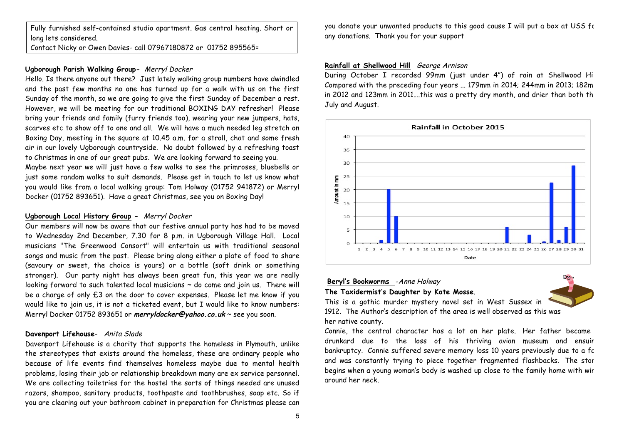Fully furnished self-contained studio apartment. Gas central heating. Short or long lets considered.

Contact Nicky or Owen Davies- call 07967180872 or 01752 895565=

#### **Ugborough Parish Walking Group-** Merryl Docker

Hello. Is there anyone out there? Just lately walking group numbers have dwindled and the past few months no one has turned up for a walk with us on the first Sunday of the month, so we are going to give the first Sunday of December a rest. However, we will be meeting for our traditional BOXING DAY refresher! Please bring your friends and family (furry friends too), wearing your new jumpers, hats, scarves etc to show off to one and all. We will have a much needed leg stretch on Boxing Day, meeting in the square at 10.45 a.m. for a stroll, chat and some fresh air in our lovely Ugborough countryside. No doubt followed by a refreshing toast to Christmas in one of our great pubs. We are looking forward to seeing you. Maybe next year we will just have a few walks to see the primroses, bluebells or just some random walks to suit demands. Please get in touch to let us know what you would like from a local walking group: Tom Holway (01752 941872) or Merryl Docker (01752 893651). Have a great Christmas, see you on Boxing Day!

#### **Ugborough Local History Group -** Merryl Docker

Our members will now be aware that our festive annual party has had to be moved to Wednesday 2nd December, 7.30 for 8 p.m. in Ugborough Village Hall. Local musicians "The Greenwood Consort" will entertain us with traditional seasonal songs and music from the past. Please bring along either a plate of food to share (savoury or sweet, the choice is yours) or a bottle (soft drink or something stronger). Our party night has always been great fun, this year we are really looking forward to such talented local musicians  $\sim$  do come and join us. There will be a charge of only £3 on the door to cover expenses. Please let me know if you would like to join us, it is not a ticketed event, but I would like to know numbers: Merryl Docker 01752 893651 or **merryldocker@yahoo.co.uk** ~ see you soon.

### **Davenport Lifehouse**- Anita Slade

Davenport Lifehouse is a charity that supports the homeless in Plymouth, unlike the stereotypes that exists around the homeless, these are ordinary people who because of life events find themselves homeless maybe due to mental health problems, losing their job or relationship breakdown many are ex service personnel. We are collecting toiletries for the hostel the sorts of things needed are unused razors, shampoo, sanitary products, toothpaste and toothbrushes, soap etc. So if you are clearing out your bathroom cabinet in preparation for Christmas please can

you donate your unwanted products to this good cause I will put a box at USS for any donations. Thank you for your support

#### **Rainfall at Shellwood Hill** George Arnison

During October I recorded 99mm (just under 4") of rain at Shellwood Hill. Compared with the preceding four years ... 179mm in 2014; 244mm in 2013; 182m in 2012 and 123mm in 2011....this was a pretty dry month, and drier than both th July and August.



# **Beryl's Bookworms** -Anne Holway

#### **The Taxidermist's Daughter by Kate Mosse**.

This is a gothic murder mystery novel set in West Sussex in 1912. The Author's description of the area is well observed as this was her native county.

Connie, the central character has a lot on her plate. Her father became drunkard due to the loss of his thriving avian museum and ensuir bankruptcy. Connie suffered severe memory loss 10 years previously due to a fall and was constantly trying to piece together fragmented flashbacks. The stor begins when a young woman's body is washed up close to the family home with wir around her neck.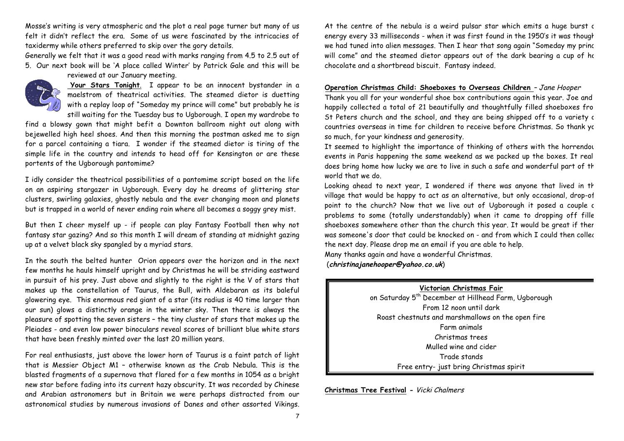Mosse's writing is very atmospheric and the plot a real page turner but many of us felt it didn't reflect the era. Some of us were fascinated by the intricacies of taxidermy while others preferred to skip over the gory details.

Generally we felt that it was a good read with marks ranging from 4.5 to 2.5 out of 5. Our next book will be 'A place called Winter' by Patrick Gale and this will be

reviewed at our January meeting.



**Your Stars Tonight**. I appear to be an innocent bystander in a maelstrom of theatrical activities. The steamed dietor is duetting with a replay loop of "Someday my prince will come" but probably he is still waiting for the Tuesday bus to Ugborough. I open my wardrobe to

find a blowsy gown that might befit a Downton ballroom night out along with bejewelled high heel shoes. And then this morning the postman asked me to sign for a parcel containing a tiara. I wonder if the steamed dietor is tiring of the simple life in the country and intends to head off for Kensington or are these portents of the Ugborough pantomime?

I idly consider the theatrical possibilities of a pantomime script based on the life on an aspiring stargazer in Ugborough. Every day he dreams of glittering star clusters, swirling galaxies, ghostly nebula and the ever changing moon and planets but is trapped in a world of never ending rain where all becomes a soggy grey mist.

But then I cheer myself up - if people can play Fantasy Football then why not fantasy star gazing? And so this month I will dream of standing at midnight gazing up at a velvet black sky spangled by a myriad stars.

In the south the belted hunter Orion appears over the horizon and in the next few months he hauls himself upright and by Christmas he will be striding eastward in pursuit of his prey. Just above and slightly to the right is the V of stars that makes up the constellation of Taurus, the Bull, with Aldebaran as its baleful glowering eye. This enormous red giant of a star (its radius is 40 time larger than our sun) glows a distinctly orange in the winter sky. Then there is always the pleasure of spotting the seven sisters – the tiny cluster of stars that makes up the Pleiades - and even low power binoculars reveal scores of brilliant blue white stars that have been freshly minted over the last 20 million years.

For real enthusiasts, just above the lower horn of Taurus is a faint patch of light that is Messier Object M1 – otherwise known as the Crab Nebula. This is the blasted fragments of a supernova that flared for a few months in 1054 as a bright new star before fading into its current hazy obscurity. It was recorded by Chinese and Arabian astronomers but in Britain we were perhaps distracted from our astronomical studies by numerous invasions of Danes and other assorted Vikings.

At the centre of the nebula is a weird pulsar star which emits a huge burst of energy every 33 milliseconds - when it was first found in the 1950's it was thought we had tuned into alien messages. Then I hear that song again "Someday my princ will come" and the steamed dietor appears out of the dark bearing a cup of ho chocolate and a shortbread biscuit. Fantasy indeed.

#### **Operation Christmas Child: Shoeboxes to Overseas Children** – Jane Hooper

Thank you all for your wonderful shoe box contributions again this year. Joe and happily collected a total of 21 beautifully and thoughtfully filled shoeboxes from St Peters church and the school, and they are being shipped off to a variety c countries overseas in time for children to receive before Christmas. So thank you so much, for your kindness and generosity.

It seemed to highlight the importance of thinking of others with the horrendous events in Paris happening the same weekend as we packed up the boxes. It real does bring home how lucky we are to live in such a safe and wonderful part of th world that we do.

Looking ahead to next year, I wondered if there was anyone that lived in the village that would be happy to act as an alternative, but only occasional, drop-of point to the church? Now that we live out of Ugborough it posed a couple c problems to some (totally understandably) when it came to dropping off fille shoeboxes somewhere other than the church this year. It would be great if ther was someone's door that could be knocked on - and from which I could then collect the next day. Please drop me an email if you are able to help. Many thanks again and have a wonderful Christmas.

(**christinajanehooper@yahoo.co.uk**)

## **Victorian Christmas Fair**

on Saturday 5<sup>th</sup> December at Hillhead Farm, Ugborough From 12 noon until dark Roast chestnuts and marshmallows on the open fire Farm animals Christmas trees Mulled wine and cider Trade stands Free entry- just bring Christmas spirit

**Christmas Tree Festival -** Vicki Chalmers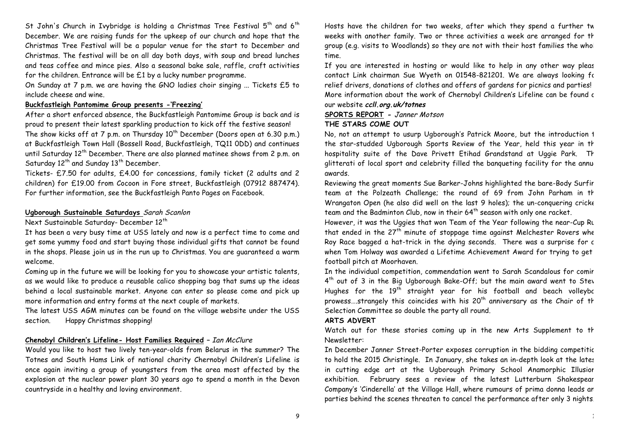St John's Church in Ivybridge is holding a Christmas Tree Festival  $5<sup>th</sup>$  and  $6<sup>th</sup>$ December. We are raising funds for the upkeep of our church and hope that the Christmas Tree Festival will be a popular venue for the start to December and Christmas. The festival will be on all day both days, with soup and bread lunches and teas coffee and mince pies. Also a seasonal bake sale, raffle, craft activities for the children. Entrance will be £1 by a lucky number programme.

On Sunday at 7 p.m. we are having the GNO ladies choir singing ... Tickets £5 to include cheese and wine.

#### **Buckfastleigh Pantomime Group presents -'Freezing'**

After a short enforced absence, the Buckfastleigh Pantomime Group is back and is proud to present their latest sparkling production to kick off the festive season! The show kicks off at 7 p.m. on Thursday  $10^{th}$  December (Doors open at 6.30 p.m.) at Buckfastleigh Town Hall (Bossell Road, Buckfastleigh, TQ11 0DD) and continues until Saturday  $12^{th}$  December. There are also planned matinee shows from 2 p.m. on Saturday  $12^{th}$  and Sunday  $13^{th}$  December.

Tickets- £7.50 for adults, £4.00 for concessions, family ticket (2 adults and 2 children) for £19.00 from Cocoon in Fore street, Buckfastleigh (07912 887474). For further information, see the Buckfastleigh Panto Pages on Facebook.

#### **Ugborough Sustainable Saturdays** Sarah Scanlon

Next Sustainable Saturday- December 12<sup>th</sup>

It has been a very busy time at USS lately and now is a perfect time to come and get some yummy food and start buying those individual gifts that cannot be found in the shops. Please join us in the run up to Christmas. You are guaranteed a warm welcome.

Coming up in the future we will be looking for you to showcase your artistic talents, as we would like to produce a reusable calico shopping bag that sums up the ideas behind a local sustainable market. Anyone can enter so please come and pick up more information and entry forms at the next couple of markets.

The latest USS AGM minutes can be found on the village website under the USS section. Happy Christmas shopping!

#### **Chenobyl Children's Lifeline- Host Families Required –** Ian McClure

Would you like to host two lively ten-year-olds from Belarus in the summer? The Totnes and South Hams Link of national charity Chernobyl Children's Lifeline is once again inviting a group of youngsters from the area most affected by the explosion at the nuclear power plant 30 years ago to spend a month in the Devon countryside in a healthy and loving environment.

Hosts have the children for two weeks, after which they spend a further tw weeks with another family. Two or three activities a week are arranged for th group (e.g. visits to Woodlands) so they are not with their host families the whol time.

If you are interested in hosting or would like to help in any other way pleas contact Link chairman Sue Wyeth on 01548-821201. We are always looking for relief drivers, donations of clothes and offers of gardens for picnics and parties! More information about the work of Chernobyl Children's Lifeline can be found c our website **ccll.org.uk/totnes**

### **SPORTS REPORT -** Janner Motson **THE STARS COME OUT**

No, not an attempt to usurp Ugborough's Patrick Moore, but the introduction 1 the star-studded Ugborough Sports Review of the Year, held this year in th hospitality suite of the Dave Privett Etihad Grandstand at Uggie Park. The glitterati of local sport and celebrity filled the banqueting facility for the annu awards.

Reviewing the great moments Sue Barker-Johns highlighted the bare-Body Surfing team at the Polzeath Challenge; the round of 69 from John Parham in the Wrangaton Open (he also did well on the last 9 holes); the un-conquering cricke team and the Badminton Club, now in their 64<sup>th</sup> season with only one racket.

However, it was the Uggies that won Team of the Year following the near-Cup Runn that ended in the  $27<sup>th</sup>$  minute of stoppage time against Melchester Rovers whe Roy Race bagged a hat-trick in the dying seconds. There was a surprise for a when Tom Holway was awarded a Lifetime Achievement Award for trying to get football pitch at Moorhaven.

In the individual competition, commendation went to Sarah Scandalous for comir 4<sup>th</sup> out of 3 in the Big Ugborough Bake-Off; but the main award went to Stev Hughes for the  $19<sup>th</sup>$  straight year for his football and beach volleybe prowess....strangely this coincides with his  $20<sup>th</sup>$  anniversary as the Chair of th Selection Committee so double the party all round.

#### **ARTS ADVERT**

Watch out for these stories coming up in the new Arts Supplement to th Newsletter:

In December Janner Street-Porter exposes corruption in the bidding competitic to hold the 2015 Christingle. In January, she takes an in-depth look at the lates in cutting edge art at the Ugborough Primary School Anamorphic Illusior exhibition. February sees a review of the latest Lutterburn Shakespear Company's 'Cinderella' at the Village Hall, where rumours of prima donna leads an parties behind the scenes threaten to cancel the performance after only 3 nights.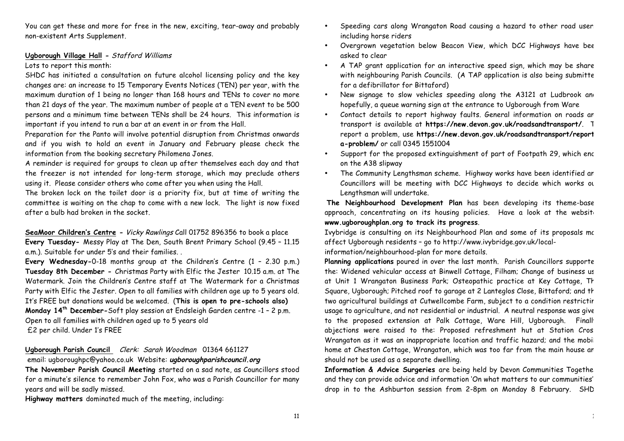You can get these and more for free in the new, exciting, tear-away and probably non-existent Arts Supplement.

#### **Ugborough Village Hall -** Stafford Williams

#### Lots to report this month:

SHDC has initiated a consultation on future alcohol licensing policy and the key changes are: an increase to 15 Temporary Events Notices (TEN) per year, with the maximum duration of 1 being no longer than 168 hours and TENs to cover no more than 21 days of the year. The maximum number of people at a TEN event to be 500 persons and a minimum time between TENs shall be 24 hours. This information is important if you intend to run a bar at an event in or from the Hall.

Preparation for the Panto will involve potential disruption from Christmas onwards and if you wish to hold an event in January and February please check the information from the booking secretary Philomena Jones.

A reminder is required for groups to clean up after themselves each day and that the freezer is not intended for long-term storage, which may preclude others using it. Please consider others who come after you when using the Hall.

The broken lock on the toilet door is a priority fix, but at time of writing the committee is waiting on the chap to come with a new lock. The light is now fixed after a bulb had broken in the socket.

**SeaMoor Children's Centre -** Vicky Rawlings Call 01752 896356 to book a place **Every Tuesday-** Messy Play at The Den, South Brent Primary School (9.45 – 11.15 a.m.). Suitable for under 5's and their families. .

**Every Wednesday-**0-18 months group at the Children's Centre (1 – 2.30 p.m.) **Tuesday 8th December -** Christmas Party with Elfic the Jester 10.15 a.m. at The Watermark. Join the Children's Centre staff at The Watermark for a Christmas Party with Elfic the Jester. Open to all families with children age up to 5 years old. It's FREE but donations would be welcomed. (**This is open to pre-schools also) Monday 14th December-**Soft play session at Endsleigh Garden centre -1 – 2 p.m. Open to all families with children aged up to 5 years old £2 per child. Under 1's FREE

**Ugborough Parish Council** Clerk: Sarah Woodman 01364 661127

email: ugboroughpc@yahoo.co.uk Website: **ugboroughparishcouncil.org**

**The November Parish Council Meeting** started on a sad note, as Councillors stood for a minute's silence to remember John Fox, who was a Parish Councillor for many years and will be sadly missed.

**Highway matters** dominated much of the meeting, including:

- Speeding cars along Wrangaton Road causing a hazard to other road user. including horse riders
- Overgrown vegetation below Beacon View, which DCC Highways have bee asked to clear
- A TAP grant application for an interactive speed sign, which may be share with neighbouring Parish Councils. (A TAP application is also being submitte for a defibrillator for Bittaford)
- New signage to slow vehicles speeding along the A3121 at Ludbrook and hopefully, a queue warning sign at the entrance to Ugborough from Ware
- Contact details to report highway faults. General information on roads an transport is available at **https://new.devon.gov.uk/roadsandtransport/**. To report a problem, use **https://new.devon.gov.uk/roadsandtransport/reporta-problem/** or call 0345 1551004
- Support for the proposed extinguishment of part of Footpath 29, which enc on the A38 slipway
- The Community Lengthsman scheme. Highway works have been identified an Councillors will be meeting with DCC Highways to decide which works our Lengthsman will undertake.

**The Neighbourhood Development Plan** has been developing its theme-based approach, concentrating on its housing policies. Have a look at the website **www.ugboroughplan.org to track its progress**.

Ivybridge is consulting on its Neighbourhood Plan and some of its proposals me affect Ugborough residents – go to http://www.ivybridge.gov.uk/localinformation/neighbourhood-plan for more details.

Planning applications poured in over the last month. Parish Councillors supporte the: Widened vehicular access at Binwell Cottage, Filham; Change of business us at Unit 1 Wrangaton Business Park; Osteopathic practice at Key Cottage, The Square, Ugborough; Pitched roof to garage at 2 Lanteglos Close, Bittaford; and th two agricultural buildings at Cutwellcombe Farm, subject to a condition restrictir usage to agriculture, and not residential or industrial. A neutral response was given to the proposed extension at Palk Cottage, Ware Hill, Ugborough. Finally abjections were raised to the: Proposed refreshment hut at Station Cros. Wrangaton as it was an inappropriate location and traffic hazard; and the mobil home at Cheston Cottage, Wrangaton, which was too far from the main house an should not be used as a separate dwelling.

**Information & Advice Surgeries** are being held by Devon Communities Together, and they can provide advice and information 'On what matters to our communities' – drop in to the Ashburton session from 2-8pm on Monday 8 February. SHD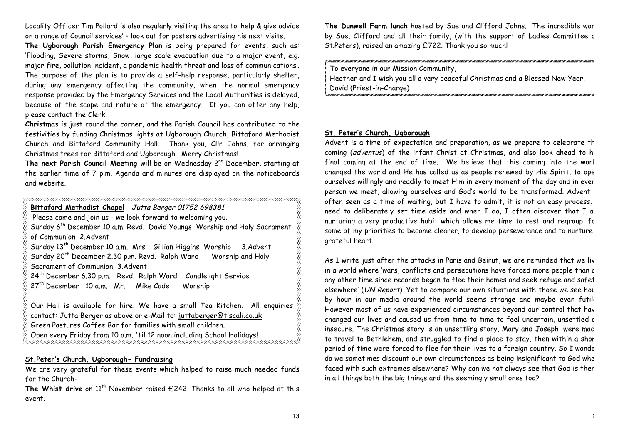Locality Officer Tim Pollard is also regularly visiting the area to 'help & give advice on a range of Council services' – look out for posters advertising his next visits.

**The Ugborough Parish Emergency Plan** is being prepared for events, such as: 'Flooding, Severe storms, Snow, large scale evacuation due to a major event, e.g. major fire, pollution incident, a pandemic health threat and loss of communications'. The purpose of the plan is to provide a self-help response, particularly shelter, during any emergency affecting the community, when the normal emergency response provided by the Emergency Services and the Local Authorities is delayed, because of the scope and nature of the emergency. If you can offer any help, please contact the Clerk.

**Christmas** is just round the corner, and the Parish Council has contributed to the festivities by funding Christmas lights at Ugborough Church, Bittaford Methodist Church and Bittaford Community Hall. Thank you, Cllr Johns, for arranging Christmas trees for Bittaford and Ugborough. Merry Christmas!

The next Parish Council Meeting will be on Wednesday 2<sup>nd</sup> December, starting at the earlier time of 7 p.m. Agenda and minutes are displayed on the noticeboards and website.

#### 

**Bittaford Methodist Chapel** Jutta Berger 01752 698381 Please come and join us - we look forward to welcoming you. Sunday 6th December 10 a.m. Revd. David Youngs Worship and Holy Sacrament

of Communion 2.Advent

Sunday 13<sup>th</sup> December 10 a.m. Mrs. Gillian Higgins Worship 3.Advent Sunday 20<sup>th</sup> December 2.30 p.m. Revd. Ralph Ward Worship and Holy Sacrament of Communion 3.Advent

 $24<sup>th</sup>$  December 6.30 p.m. Revd. Ralph Ward Candlelight Service

 $27<sup>th</sup>$  December 10 a.m. Mr. Mike Cade Worship

Our Hall is available for hire. We have a small Tea Kitchen. All enquiries contact: Jutta Berger as above or e-Mail to: juttaberger@tiscali.co.uk Green Pastures Coffee Bar for families with small children.

Open every Friday from 10 a.m. 'til 12 noon including School Holidays!

#### **St.Peter's Church, Ugborough- Fundraising**

We are very grateful for these events which helped to raise much needed funds for the Church-

The Whist drive on 11<sup>th</sup> November raised £242. Thanks to all who helped at this event.

**The Dunwell Farm lunch** hosted by Sue and Clifford Johns. The incredible work by Sue, Clifford and all their family, (with the support of Ladies Committee c St.Peters), raised an amazing £722. Thank you so much!

# To everyone in our Mission Community, Heather and I wish you all a very peaceful Christmas and a Blessed New Year.

David (Priest-in-Charge)

#### **St. Peter's Church, Ugborough**

Advent is a time of expectation and preparation, as we prepare to celebrate th coming (adventus) of the infant Christ at Christmas, and also look ahead to h final coming at the end of time. We believe that this coming into the worl changed the world and He has called us as people renewed by His Spirit, to ope ourselves willingly and readily to meet Him in every moment of the day and in ever person we meet, allowing ourselves and God's world to be transformed. Advent often seen as a time of waiting, but I have to admit, it is not an easy process. need to deliberately set time aside and when I do, I often discover that I am nurturing a very productive habit which allows me time to rest and regroup, for some of my priorities to become clearer, to develop perseverance and to nurture grateful heart.

As I write just after the attacks in Paris and Beirut, we are reminded that we liv in a world where 'wars, conflicts and persecutions have forced more people than a any other time since records began to flee their homes and seek refuge and safet elsewhere' (UN Report). Yet to compare our own situations with those we see hour by hour in our media around the world seems strange and maybe even futile However most of us have experienced circumstances beyond our control that have changed our lives and caused us from time to time to feel uncertain, unsettled a insecure. The Christmas story is an unsettling story, Mary and Joseph, were mac to travel to Bethlehem, and struggled to find a place to stay, then within a short period of time were forced to flee for their lives to a foreign country. So I wonder do we sometimes discount our own circumstances as being insignificant to God when faced with such extremes elsewhere? Why can we not always see that God is there in all things both the big things and the seemingly small ones too?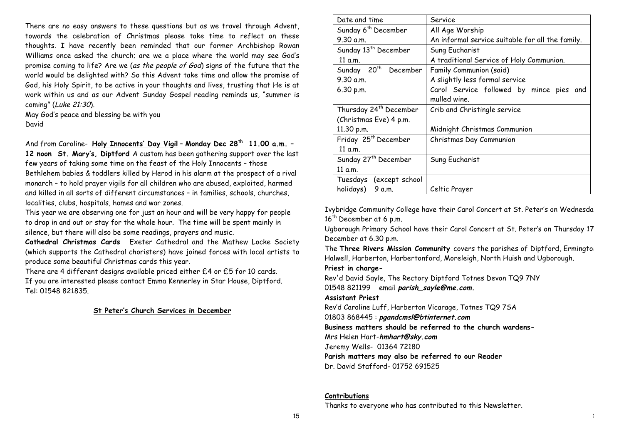There are no easy answers to these questions but as we travel through Advent, towards the celebration of Christmas please take time to reflect on these thoughts. I have recently been reminded that our former Archbishop Rowan Williams once asked the church; are we a place where the world may see God's promise coming to life? Are we (as the people of God) signs of the future that the world would be delighted with? So this Advent take time and allow the promise of God, his Holy Spirit, to be active in your thoughts and lives, trusting that He is at work within us and as our Advent Sunday Gospel reading reminds us, "summer is coming" (Luke 21:30).

May God's peace and blessing be with you David

And from Caroline- **Holy Innocents' Day Vigil** – **Monday Dec 28th 11.00 a.m. – 12 noon St. Mary's, Diptford** A custom has been gathering support over the last few years of taking some time on the feast of the Holy Innocents – those Bethlehem babies & toddlers killed by Herod in his alarm at the prospect of a rival monarch – to hold prayer vigils for all children who are abused, exploited, harmed and killed in all sorts of different circumstances – in families, schools, churches, localities, clubs, hospitals, homes and war zones.

This year we are observing one for just an hour and will be very happy for people to drop in and out or stay for the whole hour. The time will be spent mainly in silence, but there will also be some readings, prayers and music.

**Cathedral Christmas Cards** Exeter Cathedral and the Mathew Locke Society (which supports the Cathedral choristers) have joined forces with local artists to produce some beautiful Christmas cards this year.

There are 4 different designs available priced either £4 or £5 for 10 cards. If you are interested please contact Emma Kennerley in Star House, Diptford. Tel: 01548 821835.

#### **St Peter's Church Services in December**

| Date and time                       | Service                                          |  |  |
|-------------------------------------|--------------------------------------------------|--|--|
| Sunday 6 <sup>th</sup> December     | All Age Worship                                  |  |  |
| 9.30 a.m.                           | An informal service suitable for all the family. |  |  |
| Sunday 13 <sup>th</sup> December    | Sung Eucharist                                   |  |  |
| 11 a.m.                             | A traditional Service of Holy Communion.         |  |  |
| Sunday 20 <sup>th</sup><br>December | Family Communion (said)                          |  |  |
| 9.30 a.m.                           | A slightly less formal service                   |  |  |
| 6.30 p.m.                           | Carol Service followed by mince pies and         |  |  |
|                                     | mulled wine.                                     |  |  |
| Thursday 24 <sup>th</sup> December  | Crib and Christingle service                     |  |  |
| (Christmas Eve) 4 p.m.              |                                                  |  |  |
| 11.30 p.m.                          | Midnight Christmas Communion                     |  |  |
| Friday 25 <sup>th</sup> December    | Christmas Day Communion                          |  |  |
| 11 a.m.                             |                                                  |  |  |
| Sunday 27 <sup>th</sup> December    | Sung Eucharist                                   |  |  |
| 11 a.m.                             |                                                  |  |  |
| Tuesdays (except school             |                                                  |  |  |
| holidays)<br>9 a.m.                 | Celtic Prayer                                    |  |  |

Ivybridge Community College have their Carol Concert at St. Peter's on Wednesday 16<sup>th</sup> December at 6 p.m.

Ugborough Primary School have their Carol Concert at St. Peter's on Thursday 17 December at 6.30 p.m.

The **Three Rivers Mission Community** covers the parishes of Diptford, Ermington, Halwell, Harberton, Harbertonford, Moreleigh, North Huish and Ugborough.

**Priest in charge-**

Rev'd David Sayle, The Rectory Diptford Totnes Devon TQ9 7NY 01548 821199 email **parish\_sayle@me.com.**

**Assistant Priest**

Rev'd Caroline Luff, Harberton Vicarage, Totnes TQ9 7SA

01803 868445 : **pgandcmsl@btinternet.com**

**Business matters should be referred to the church wardens-**

Mrs Helen Hart-**hmhart@sky.com**

Jeremy Wells- 01364 72180

**Parish matters may also be referred to our Reader**

Dr. David Stafford- 01752 691525

#### **Contributions**

Thanks to everyone who has contributed to this Newsletter.